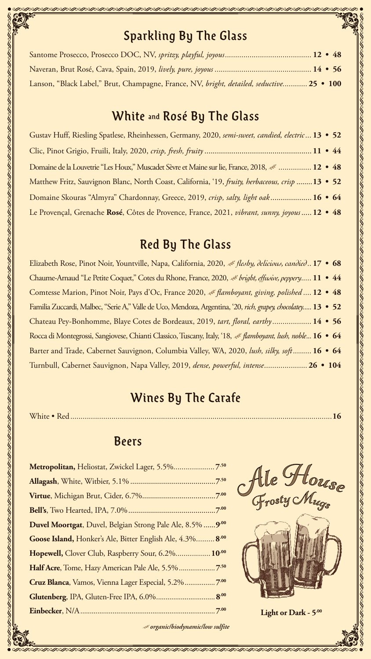

#### 

# Sparkling By The Glass

| Lanson, "Black Label," Brut, Champagne, France, NV, bright, detailed, seductive 25 • 100 |  |  |
|------------------------------------------------------------------------------------------|--|--|

#### White and Rosé By The Glass

Gustav Huff, Riesling Spatlese, Rheinhessen, Germany, 2020, *semi-sweet, candied, electric...* **13 • 52** Clic, Pinot Grigio, Fruili, Italy, 2020, *crisp, fresh, fruity*.................................................... **11 • 44** Domaine de la Louvetrie "Les Houx," Muscadet Sèvre et Maine sur lie, France, 2018, *................* **12 • 48** Matthew Fritz, Sauvignon Blanc, North Coast, California, '19, *fruity, herbaceous, crisp* ........**13 • 52** Domaine Skouras "Almyra" Chardonnay, Greece, 2019, *crisp, salty, light oak*.................... **16 • 64** Le Provençal, Grenache **Rosé**, Côtes de Provence, France, 2021, *vibrant, sunny, joyous* ..... **12 • 48**

# Red By The Glass

Elizabeth Rose, Pinot Noir, Yountville, Napa, California, 2020, *fleshy, delicious, candied..* **17 • 68** Chaume-Arnaud "Le Petite Coquet," Cotes du Rhone, France, 2020, *bright, effusive, peppery.....* **11 • 44** Comtesse Marion, Pinot Noir, Pays d'Oc, France 2020, *flamboyant, giving, polished ....* **12 • 48** Familia Zuccardi, Malbec, "Serie A," Valle de Uco, Mendoza, Argentina, '20, *rich, grapey, chocolatey.....***13 • 52**

Chateau Pey-Bonhomme, Blaye Cotes de Bordeaux, 2019, *tart, floral, earthy...................* **14 • 56** Rocca di Montegrossi, Sangiovese, Chianti Classico, Tuscany, Italy, '18, *flamboyant, lush, noble...***16 • 64**  Barter and Trade, Cabernet Sauvignon, Columbia Valley, WA, 2020, *lush, silky, soft.........* **16 • 64** Turnbull, Cabernet Sauvignon, Napa Valley, 2019, *dense, powerful, intense.....................***26 • 104**

# Wines By The Carafe

White • Red *...............................................................................................................................***16**

#### Beers

| <b>Duvel Moortgat</b> , Duvel, Belgian Strong Pale Ale, 8.5% | .9.00 |
|--------------------------------------------------------------|-------|
| Goose Island, Honker's Ale, Bitter English Ale, 4.3% 8.00    |       |
| Hopewell, Clover Club, Raspberry Sour, 6.2% 10.00            |       |
|                                                              |       |
| Cruz Blanca, Vamos, Vienna Lager Especial, 5.2% 7.00         |       |
| Glutenberg, IPA, Gluten-Free IPA, 6.0% 8.00                  |       |
|                                                              |       |





#### **Eight or Dark - 5.00**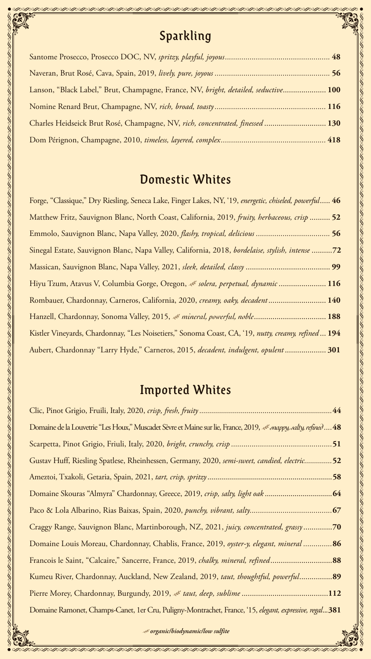# Sparkling

| Lanson, "Black Label," Brut, Champagne, France, NV, bright, detailed, seductive 100 |  |
|-------------------------------------------------------------------------------------|--|
|                                                                                     |  |
| Charles Heidseick Brut Rosé, Champagne, NV, rich, concentrated, finessed  130       |  |
|                                                                                     |  |

#### Domestic Whites

Forge, "Classique," Dry Riesling, Seneca Lake, Finger Lakes, NY, '19, *energetic, chiseled, powerful*..... **46**  Matthew Fritz, Sauvignon Blanc, North Coast, California, 2019, *fruity, herbaceous, crisp* .......... **52** Emmolo, Sauvignon Blanc, Napa Valley, 2020, *flashy, tropical, delicious ....................................* **56** 8, bordelaise, stylish, intense ...........72 Massican, Sauvignon Blanc, Napa Valley, 2021, *sleek, detailed, classy* ......................................... **99** Hiyu Tzum, Atavus V, Columbia Gorge, Oregon, *solera, perpetual, dynamic* ....................... **116** Rombauer, Chardonnay, Carneros, California, 2020, *creamy, oaky, decadent*............................ **140**

|                               | Sinegal Estate, Sauvignon Blanc, Napa Valley, California, 2018, bordelaise, stylish, intense 72                 |  |
|-------------------------------|-----------------------------------------------------------------------------------------------------------------|--|
|                               |                                                                                                                 |  |
|                               | Hiyu Tzum, Atavus V, Columbia Gorge, Oregon, & solera, perpetual, dynamic  116                                  |  |
|                               | Rombauer, Chardonnay, Carneros, California, 2020, creamy, oaky, decadent 140                                    |  |
|                               | Hanzell, Chardonnay, Sonoma Valley, 2015, & mineral, powerful, noble 188                                        |  |
|                               | Kistler Vineyards, Chardonnay, "Les Noisetiers," Sonoma Coast, CA, '19, nutty, creamy, refined 194              |  |
|                               | Aubert, Chardonnay "Larry Hyde," Carneros, 2015, decadent, indulgent, opulent 301                               |  |
|                               |                                                                                                                 |  |
|                               | <b>Imported Whites</b>                                                                                          |  |
|                               |                                                                                                                 |  |
|                               |                                                                                                                 |  |
|                               | Domaine de la Louvetrie "Les Houx," Muscadet Sèvre et Maine sur lie, France, 2019, « snappy, salty, refined  48 |  |
|                               |                                                                                                                 |  |
|                               | Gustav Huff, Riesling Spatlese, Rheinhessen, Germany, 2020, semi-sweet, candied, electric52                     |  |
| <u>sa Francesa Compandida</u> |                                                                                                                 |  |

Clic, Pinot Grigio, Fruili, Italy, 2020, *crisp, fresh, fruity...................................................................***44** Domaine de la Louvetrie "Les Houx," Muscadet Sèvre et Maine sur lie, France, 2019, *snappy, salty, refined....***48** Scarpetta, Pinot Grigio, Friuli, Italy, 2020, *bright, crunchy, crisp .................................................***51** Gustav Huff, Riesling Spatlese, Rheinhessen, Germany, 2020, *semi-sweet, candied, electric..............***52** Ameztoi, Txakoli, Getaria, Spain, 2021, *tart, crisp, spritzy*...............................................................**58** Domaine Skouras "Almyra" Chardonnay, Greece, 2019, *crisp, salty, light oak* ..................................**64** Paco & Lola Albarino, Rias Baixas, Spain, 2020, *punchy, vibrant, salty........................................***67** Craggy Range, Sauvignon Blanc, Martinborough, NZ, 2021, *juicy, concentrated, grassy*..............**70** Domaine Louis Moreau, Chardonnay, Chablis, France, 2019, *oyster-y, elegant, mineral ..............***86** Francois le Saint, "Calcaire," Sancerre, France, 2019, *chalky, mineral, refined*..............................**88** Kumeu River, Chardonnay, Auckland, New Zealand, 2019, *taut, thoughtful, powerful*................**89**  Pierre Morey, Chardonnay, Burgundy, 2019, *taut, deep, sublime* ..........................................**112** Domaine Ramonet, Champs-Canet, 1er Cru, Puligny-Montrachet, France, '15, *elegant, expressive, regal*...**381**



<u> 1990 and a chaile and a chaile and a chaile and a chaile and a chaile and a chaile and a chaile and and and a ch</u>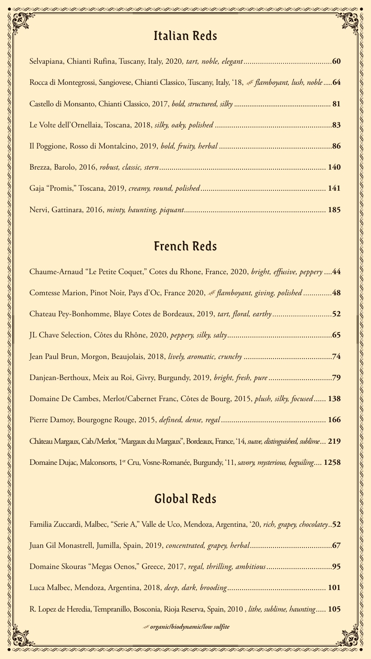

# Italian Reds

かめめめめめめめめめめのありがっとないでないでないしゃしゃしゃしゃしゃしゃしゃしゃしゃしゃしゃしゃしゃしゃしゃしゃしゃ

| Rocca di Montegrossi, Sangiovese, Chianti Classico, Tuscany, Italy, '18, & flamboyant, lush, noble  64 |  |
|--------------------------------------------------------------------------------------------------------|--|
|                                                                                                        |  |
|                                                                                                        |  |
|                                                                                                        |  |
|                                                                                                        |  |
|                                                                                                        |  |
|                                                                                                        |  |

# French Reds

Chaume-Arnaud "Le Petite Coquet," Cotes du Rhone, France, 2020, *bright, effusive, peppery* ....**44**

Comtesse Marion, Pinot Noir, Pays d'Oc, France 2020, « flamboyant, giving, polished *...............*.48

| $\frac{1}{2}$                                                                                                            |
|--------------------------------------------------------------------------------------------------------------------------|
| Chateau Pey-Bonhomme, Blaye Cotes de Bordeaux, 2019, tart, floral, earthy52                                              |
|                                                                                                                          |
|                                                                                                                          |
| Danjean-Berthoux, Meix au Roi, Givry, Burgundy, 2019, bright, fresh, pure79                                              |
| Domaine De Cambes, Merlot/Cabernet Franc, Côtes de Bourg, 2015, <i>plush, silky, focused</i> 138                         |
|                                                                                                                          |
| Château Margaux, Cab./Merlot, "Margaux du Margaux", Bordeaux, France, '14, suave, distinguished, sublime 219             |
| Domaine Dujac, Malconsorts, 1 <sup>er</sup> Cru, Vosne-Romanée, Burgundy, '11, <i>savory, mysterious, beguiling</i> 1258 |
|                                                                                                                          |
| Global Reds                                                                                                              |

Familia Zuccardi, Malbec, "Serie A," Valle de Uco, Mendoza, Argentina, '20, *rich, grapey, chocolatey*..**52** Juan Gil Monastrell, Jumilla, Spain, 2019, *concentrated, grapey, herbal*........................................**67** Domaine Skouras "Megas Oenos," Greece, 2017, *regal, thrilling, ambitious*................................**95** Luca Malbec, Mendoza, Argentina, 2018, *deep, dark, brooding*................................................ **101** R. Lopez de Heredia, Tempranillo, Bosconia, Rioja Reserva, Spain, 2010 , *lithe, sublime, haunting*..... **105**